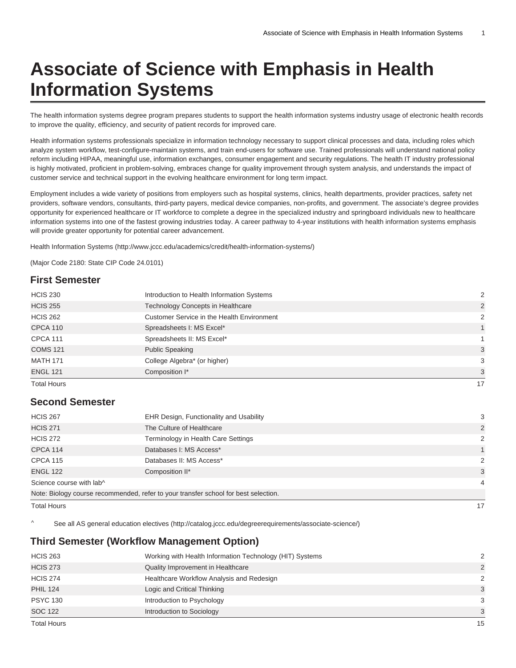# **Associate of Science with Emphasis in Health Information Systems**

The health information systems degree program prepares students to support the health information systems industry usage of electronic health records to improve the quality, efficiency, and security of patient records for improved care.

Health information systems professionals specialize in information technology necessary to support clinical processes and data, including roles which analyze system workflow, test-configure-maintain systems, and train end-users for software use. Trained professionals will understand national policy reform including HIPAA, meaningful use, information exchanges, consumer engagement and security regulations. The health IT industry professional is highly motivated, proficient in problem-solving, embraces change for quality improvement through system analysis, and understands the impact of customer service and technical support in the evolving healthcare environment for long term impact.

Employment includes a wide variety of positions from employers such as hospital systems, clinics, health departments, provider practices, safety net providers, software vendors, consultants, third-party payers, medical device companies, non-profits, and government. The associate's degree provides opportunity for experienced healthcare or IT workforce to complete a degree in the specialized industry and springboard individuals new to healthcare information systems into one of the fastest growing industries today. A career pathway to 4-year institutions with health information systems emphasis will provide greater opportunity for potential career advancement.

[Health Information Systems](http://www.jccc.edu/academics/credit/health-information-systems/) [\(http://www.jccc.edu/academics/credit/health-information-systems/\)](http://www.jccc.edu/academics/credit/health-information-systems/)

(Major Code 2180: State CIP Code 24.0101)

#### **First Semester**

| <b>HCIS 230</b>    | Introduction to Health Information Systems | 2              |
|--------------------|--------------------------------------------|----------------|
| <b>HCIS 255</b>    | <b>Technology Concepts in Healthcare</b>   | $\overline{2}$ |
| <b>HCIS 262</b>    | Customer Service in the Health Environment | 2              |
| <b>CPCA 110</b>    | Spreadsheets I: MS Excel*                  |                |
| <b>CPCA 111</b>    | Spreadsheets II: MS Excel*                 |                |
| <b>COMS 121</b>    | <b>Public Speaking</b>                     | 3              |
| <b>MATH 171</b>    | College Algebra* (or higher)               | 3              |
| <b>ENGL 121</b>    | Composition I*                             | 3              |
| <b>Total Hours</b> |                                            | 17             |

#### **Second Semester**

| <b>HCIS 267</b>          | EHR Design, Functionality and Usability                                             | 3            |
|--------------------------|-------------------------------------------------------------------------------------|--------------|
| <b>HCIS 271</b>          | The Culture of Healthcare                                                           | 2            |
| <b>HCIS 272</b>          | Terminology in Health Care Settings                                                 | 2            |
| <b>CPCA 114</b>          | Databases I: MS Access*                                                             | $\mathbf{1}$ |
| <b>CPCA 115</b>          | Databases II: MS Access*                                                            | 2            |
| <b>ENGL 122</b>          | Composition II*                                                                     | 3            |
| Science course with lab^ |                                                                                     | 4            |
|                          | Note: Biology course recommended, refer to your transfer school for best selection. |              |
| <b>Total Hours</b>       |                                                                                     | 17           |

^ [See all AS general education electives \(http://catalog.jccc.edu/degreerequirements/associate-science/\)](http://catalog.jccc.edu/degreerequirements/associate-science/)

#### **Third Semester (Workflow Management Option)**

| <b>HCIS 263</b>    | Working with Health Information Technology (HIT) Systems | 2             |
|--------------------|----------------------------------------------------------|---------------|
| <b>HCIS 273</b>    | Quality Improvement in Healthcare                        | $\mathcal{P}$ |
| <b>HCIS 274</b>    | Healthcare Workflow Analysis and Redesign                | 2             |
| <b>PHIL 124</b>    | Logic and Critical Thinking                              | 3             |
| <b>PSYC 130</b>    | Introduction to Psychology                               | 3             |
| <b>SOC 122</b>     | Introduction to Sociology                                | 3             |
| <b>Total Hours</b> |                                                          | 15            |